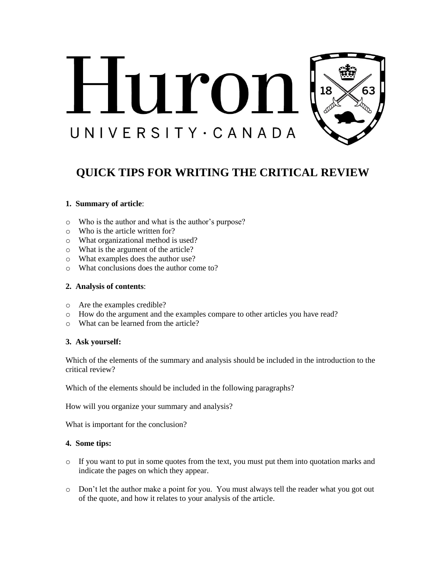

# **QUICK TIPS FOR WRITING THE CRITICAL REVIEW**

# **1. Summary of article**:

- o Who is the author and what is the author's purpose?
- o Who is the article written for?
- o What organizational method is used?
- o What is the argument of the article?
- o What examples does the author use?
- o What conclusions does the author come to?

### **2. Analysis of contents**:

- o Are the examples credible?
- o How do the argument and the examples compare to other articles you have read?
- o What can be learned from the article?

# **3. Ask yourself:**

Which of the elements of the summary and analysis should be included in the introduction to the critical review?

Which of the elements should be included in the following paragraphs?

How will you organize your summary and analysis?

What is important for the conclusion?

# **4. Some tips:**

- $\circ$  If you want to put in some quotes from the text, you must put them into quotation marks and indicate the pages on which they appear.
- o Don't let the author make a point for you. You must always tell the reader what you got out of the quote, and how it relates to your analysis of the article.